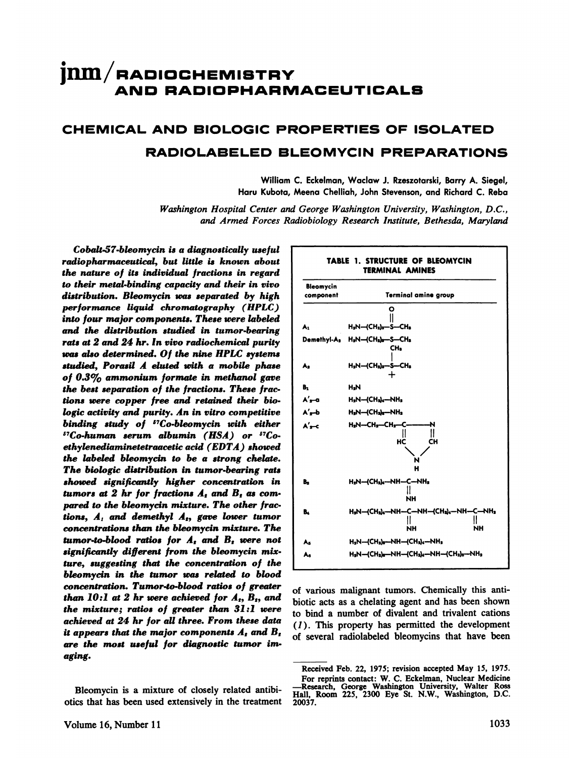# $\text{jnm}/\text{n}$ ADIOCHEMISTRY **RADIOPHARMACEUTICALS**

# **CHEMICAL AND BIOLOGIC PROPERTIES OF ISOLATED RADIOLABELED BLEOMYCIN PREPARATIONS**

William C. Eckelman, Waclaw J. Rzeszotarski, Barry A. Siegel, **Haru Kubota,Meena Chelliah, JohnStevenson,and RichardC. Reba**

*Washington Hospital Center and George Washington University, Washington, D.C., and Armed Forces Radiobiology Research Institute, Bethesda, Maryland*

*Cobalt-57-bleomycin is a diagnostically useful radiopharmaceutical, but little is known about the nature of its individual fractions in regard to their metal-binding capacity and their in vivo distribution. Bleomycin was separated by high performance liquid chromatography (HPLC) into four major components. These were labeled and the distribution studied in tumor-bearing rats at 2 and 24 hr. In vivo radiochemical purity was ttho determined. Of the nine HPLC systems studied, Porasil A elated with a mobile phase of 0.3% ammonium formate in methanol gave the best separation of the fractions. These frac tions were copper free and retained their bio logic activity and purity. An in vitro competitive binding study of 57Co-bleomycin with either "Co-human serum albumin (HSA) or ethylenediaminetetraacetic acid (EDTA) showed the labeled bleomycin to be a strong chelate. The biologic distribution in tumor-bearing rats showed significantly higher concentration in tumors* at 2 *hr for fractions*  $A_t$  *and*  $B_t$  *as compared to the bleomycin mixture. The other frac tions, A1 and demethyl A5, gave lower tumor concentrations than the bleomycin mixture. The tumor-to-blood ratios for A and B were not significantly different from the bleomycin mix ture, suggesting that the concentration of the bleomycin in the tumor was related to blood concentration. Tumor-to-blood ratios of greater than*  $10:1$  *at* 2 *hr were achieved for*  $A_1$ ,  $B_2$ , *and the mixture; ratios of greater than 31 :1 were achieved at 24 hr for all three. From these data it* appears that the major components  $A_t$  and  $B_t$ *are the most useful for diagnostic tumor irn aging.*

Bleomycin is a mixture of closely related antibi otics that has been used extensively in the treatment



of various malignant tumors. Chemically this anti biotic acts as a chelating agent and has been shown to bind a number of divalent and trivalent cations *(1 ). This property has permitted the development* of several radiolabeled bleomycins that have been

Received Feb. 22, 1975; revision accepted May 15, 1975. For reprints contact: W. C. Eckelman, Nuclear Medicine —Research, George Washington University, Walter Ross Hall, Room 225, 2300 Eye St. N.W., Washington, D.C. 20037.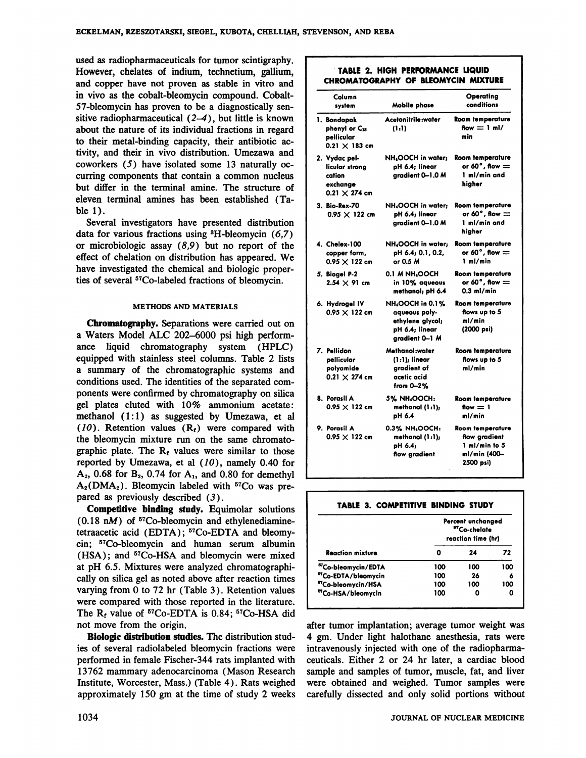used as radiopharmaceuticals for tumor scintigraphy. However, chelates of indium, technetium, gallium, and copper have not proven as stable in vitro and in vivo as the cobalt-bleomycin compound. Cobalt 57-bleomycin has proven to be a diagnostically sen sitive radiopharmaceutical  $(2-4)$ , but little is known about the nature of its individual fractions in regard  $\uparrow$  **phenyl or C<sub>18</sub>** (1.1) **flow** = 1 ml/ to their metal-binding capacity, their antibiotic ac tivity, and their in vivo distribution. Umezawa and coworkers (5) have isolated some 13 naturally oc curring components that contain a common nucleus but differ in the terminal amine. The structure of eleven terminal amines has been established (Ta ble 1).

> Several investigators have presented distribution data for various fractions using  ${}^{3}H$ -bleomycin (6,7) or microbiologic assay  $(8,9)$  but no report of the effect of chelation on distribution has appeared. We have investigated the chemical and biologic proper ties of several 57Co-labeled fractions of bleomycin.

### **METHODS AND MATERIALS**

Chromatography. Separations were carried out on a Waters Model ALC 202-6000 psi high performance liquid chromatography system (HPLC) equipped with stainless steel columns. Table 2 lists a summary of the chromatographic systems and conditions used. The identities of the separated com ponents were confirmed by chromatography on silica gel plates eluted with 10% ammonium acetate: methanol  $(1:1)$  as suggested by Umezawa, et all (10). Retention values  $(R<sub>f</sub>)$  were compared with the bleomycin mixture run on the same chromato graphic plate. The  $R_t$  values were similar to those reported by Umezawa, et al  $(10)$ , namely 0.40 for  $A_2$ , 0.68 for  $B_2$ , 0.74 for  $A_1$ , and 0.80 for demethyl  $A_2(DMA_2)$ . Bleomycin labeled with  $57Co$  was prepared as previously described  $(3)$ .

Competitive binding study. Equimolar solutions  $(0.18 \text{ nM})$  of <sup>57</sup>Co-bleomycin and ethylenediaminetetraacetic acid (EDTA); <sup>57</sup>Co-EDTA and bleomycin; <sup>57</sup>Co-bleomycin and human serum albumin (HSA); and <sup>57</sup>Co-HSA and bleomycin were mixed at pH 6.5. Mixtures were analyzed chromatographi cally on silica gel as noted above after reaction times varying from  $0$  to 72 hr (Table 3). Retention values were compared with those reported in the literature. The  $R_t$  value of <sup>57</sup>Co-EDTA is 0.84; <sup>57</sup>Co-HSA did not move from the origin.

Biologic distribution studies. The distribution stud ies of several radiolabeled bleomycin fractions were performed in female Fischer-344 rats implanted with 13762 mammary adenocarcinoma (Mason Research Institute, Worcester, Mass.) (Table 4). Rats weighed approximately 150 gm at the time of study 2 weeks

### . TABLE 2. HIGH PERFORMANCE LIQUID CHROMATOGRAPHY OF BLEOMYCIN MIXTURE

| Column<br>system                                                              | Mobile phase                                                                                               | Operating<br>conditions                                                          |
|-------------------------------------------------------------------------------|------------------------------------------------------------------------------------------------------------|----------------------------------------------------------------------------------|
| 1. Bondapak<br>phenyl or C18<br>pellicular<br>$0.21 \times 183$ cm            | Acetonitrile:water<br>(1:1)                                                                                | <b>Room temperature</b><br>flow $= 1$ ml/<br>min                                 |
| 2. Vydac pel-<br>licular strona<br>cation<br>exchange<br>$0.21 \times 274$ cm | NH <sub>4</sub> OOCH in water;<br>pH 6.4; linear<br>aradient 0-1.0 M                                       | <b>Room temperature</b><br>or 60 $^{\circ}$ , flow $=$<br>1 ml/min and<br>higher |
| 3. Bio-Rex-70<br>$0.95 \times 122$ cm                                         | NH <sub>4</sub> OOCH in water;<br>pH 6.4; linear<br>aradient 0-1.0 M                                       | <b>Room temperature</b><br>or 60°, flow $=$<br>1 ml/min and<br>hiaher            |
| 4. Chelex-100<br>copper form,<br>$0.95 \times 122$ cm                         | NH <sub>4</sub> OOCH in water;<br>pH 6.4; 0.1, 0.2,<br>or 0.5 M                                            | <b>Room temperature</b><br>or 60 $^{\circ}$ , flow $=$<br>1 ml/min               |
| 5. Biogel P-2<br>$2.54 \times 91$ cm                                          | 0.1 M NH OOCH<br>in 10% agueous<br>methanol; pH 6.4                                                        | <b>Room temperature</b><br>or 60 $^{\circ}$ , flow $=$<br>$0.3$ ml/min           |
| 6. Hydrogel IV<br>$0.95 \times 122$ cm                                        | <b>NH<sub>4</sub>OOCH in 0.1%</b><br>aqueous poly-<br>ethylene alycol;<br>pH 6.4; linear<br>aradient 0–1 M | <b>Room temperature</b><br>flows up to 5<br>ml/min<br>(2000 psi)                 |
| 7. Pellidon<br>pellicular<br>polyamide<br>$0.21 \times 274$ cm                | Methanol:water<br>$(1:1)$ ; linear<br>gradient of<br>acetic acid<br>from $0 - 2%$                          | <b>Room temperature</b><br>flows up to 5<br>ml/min                               |
| 8. Porasil A<br>$0.95 \times 122$ cm                                          | 5% NH <sub>4</sub> OOCH:<br>methanol (1:1);<br>pH 6.4                                                      | <b>Room temperature</b><br>flow $= 1$<br>ml/min                                  |
| 9. Porasil A<br>$0.95 \times 122$ cm                                          | 0.3% NH <sub>4</sub> OOCH:<br>methanol $(1:1)$ ;<br>pH 6.4;<br>flow gradient                               | Room temperature<br>flow gradient<br>1 ml/min to 5<br>ml/min (400-<br>2500 psi)  |

|  | TABLE 3. COMPETITIVE BINDING STUDY |  |  |
|--|------------------------------------|--|--|

|                                 |     | Percent unchanged<br><sup>57</sup> Co-chelate<br>reaction time (hr) |     |  |  |
|---------------------------------|-----|---------------------------------------------------------------------|-----|--|--|
| <b>Reaction mixture</b>         |     | 24                                                                  | 72  |  |  |
| <sup>87</sup> Co-bleomycin/EDTA | 100 | 100                                                                 | 100 |  |  |
| <sup>57</sup> Co-EDTA/bleomycin | 100 | 26                                                                  | 6   |  |  |
| <sup>57</sup> Co-bleomycin/HSA  | 100 | 100                                                                 | 100 |  |  |
| <sup>57</sup> Co-HSA/bleomycin  | 100 |                                                                     | 0   |  |  |

after tumor implantation; average tumor weight was 4 gm. Under light halothane anesthesia, rats were intravenously injected with one of the radiopharma ceuticals. Either 2 or 24 hr later, a cardiac blood sample and samples of tumor, muscle, fat, and liver were obtained and weighed. Tumor samples were carefully dissected and only solid portions without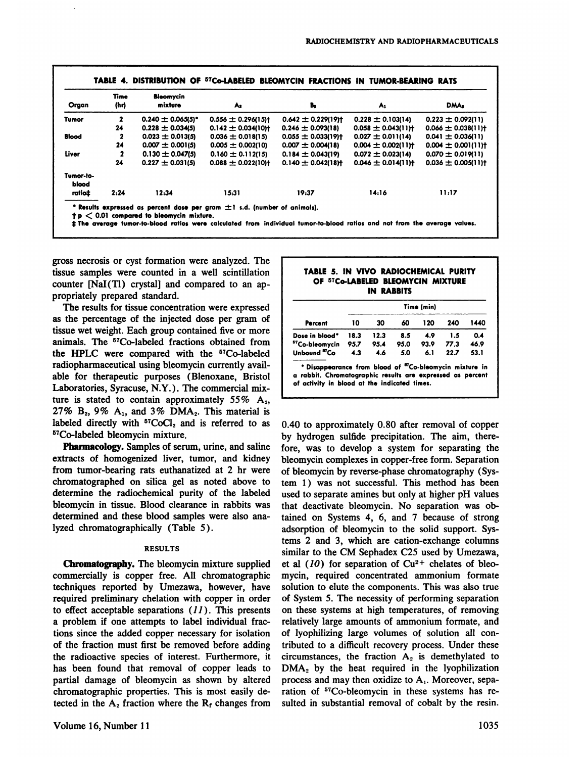| Organ              | Time<br>(hr) | Bloomycin<br>mixture   | As                     | Ъ,                                  | A1                                  | DMA <sub>3</sub>                    |
|--------------------|--------------|------------------------|------------------------|-------------------------------------|-------------------------------------|-------------------------------------|
| Tumor              | $\mathbf{2}$ | $0.240 \pm 0.065(5)^*$ | 0.556 $\pm$ 0.296(15)† | $0.642 \pm 0.229119$                | $0.228 \pm 0.103(14)$               | $0.223 \pm 0.092(11)$               |
|                    | 24           | $0.228 \pm 0.034(5)$   | $0.142 \pm 0.034(10)$  | $0.246 \pm 0.093(18)$               | $0.058 \pm 0.043$ (11) <sup>+</sup> | $0.066 \pm 0.038(11)$               |
| <b>Blood</b>       | 2            | $0.023 \pm 0.013(5)$   | $0.036 \pm 0.018(15)$  | $0.055 \pm 0.033(19)$               | $0.027 \pm 0.011(14)$               | $0.041 \pm 0.036(11)$               |
|                    | 24           | $0.007 \pm 0.001(5)$   | $0.005 \pm 0.002(10)$  | $0.007 \pm 0.004(18)$               | $0.004 \pm 0.002$ (11) <sup>+</sup> | $0.004 \pm 0.001(11)$               |
| Liver              | 2            | $0.130 \pm 0.047(5)$   | $0.160 \pm 0.112(15)$  | $0.184 \pm 0.043(19)$               | $0.072 \pm 0.023(14)$               | $0.070 \pm 0.019(11)$               |
|                    | 24           | $0.227 \pm 0.031(5)$   | $0.088 \pm 0.022(10)$  | $0.140 \pm 0.042$ (18) <sup>+</sup> | $0.046 \pm 0.014$ (11) <sup>+</sup> | $0.036 \pm 0.005$ (11) <sup>+</sup> |
| Tumor-to-<br>blood |              |                        |                        |                                     |                                     |                                     |
| ratiot             | 2:24         | 12.34                  | 15:31                  | 19:37                               | 14:16                               | 11:17                               |

gross necrosis or cyst formation were analyzed. The tissue samples were counted in a well scintillation counter [NaI(Tl) crystal] and compared to an ap propriately prepared standard.

The results for tissue concentration were expressed as the percentage of the injected dose per gram of tissue wet weight. Each group contained five or more animals. The <sup>57</sup>Co-labeled fractions obtained from the HPLC were compared with the <sup>57</sup>Co-labeled radiopharmaceutical using bleomycin currently avail able for therapeutic purposes (Blenoxane, Bristol Laboratories, Syracuse, N.Y.) . The commercial mix ture is stated to contain approximately  $55\%$  A<sub>2</sub>, 27%  $B_2$ , 9%  $A_1$ , and 3% DMA<sub>2</sub>. This material is labeled directly with  ${}^{57}CoCl<sub>2</sub>$  and is referred to as 5TCo-labeled bleomycin mixture.

Pharmacology. Samples of serum, urine, and saline extracts of homogenized liver, tumor, and kidney from tumor-bearing rats euthanatized at 2 hr were chromatographed on silica gel as noted above to determine the radiochemical purity of the labeled bleomycin in tissue. Blood clearance in rabbits was determined and these blood samples were also ana lyzed chromatographically (Table 5).

#### **RESULTS**

Chromatography. The bleomycin mixture supplied commercially is copper free. All chromatographic techniques reported by Umezawa, however, have required preliminary chelation with copper in order to effect acceptable separations  $(11)$ . This presents a problem if one attempts to label individual frac tions since the added copper necessary for isolation of the fraction must first be removed before adding the radioactive species of interest. Furthermore, it has been found that removal of copper leads to partial damage of bleomycin as shown by altered chromatographic properties. This is most easily de tected in the  $A_2$  fraction where the  $R_t$  changes from

# **TABLE 5. IN VIVO RADIOCHEMICAL PURITY OF @@CO-I.ABELED BLEOMYCIN MIXTURE IN RABBITS**

| Percent                    | Time (min) |      |      |      |      |      |
|----------------------------|------------|------|------|------|------|------|
|                            | 10         | 30   | 60   | 120  | 240  | 1440 |
| Dose in blood*             | 18.3       | 12.3 | 8.5  | 4.9  | 1.5  | 0.4  |
| <sup>57</sup> Co-bleomycin | 95.7       | 95.4 | 95.0 | 93.9 | 77.3 | 46.9 |
| Unbound "Co                | 4.3        | 4.6  | 5.0  | 6.1  | 22.7 | 53.1 |

\* Disappearance from blood of "Co-bleomycin mixture in **a rabbit. Chromatographicresultsare expressed as percent of activity in blood at the indicated times.**

0.40 to approximately 0.80 after removal of copper by hydrogen sulfide precipitation. The aim, there fore, was to develop a system for separating the bleomycin complexes in copper-free form. Separation of bleomycin by reverse-phase chromatography (Sys tem 1) was not successful. This method has been used to separate amines but only at higher pH values that deactivate bleomycin. No separation was ob tamed on Systems 4, 6, and 7 because of strong adsorption of bleomycin to the solid support. Sys tems 2 and 3, which are cation-exchange columns similar to the CM Sephadex C25 used by Umezawa, et al  $(10)$  for separation of  $Cu^{2+}$  chelates of bleomycin, required concentrated ammonium formate solution to elute the components. This was also true of System 5. The necessity of performing separation on these systems at high temperatures, of removing relatively large amounts of ammonium formate, and of lyophilizing large volumes of solution all con tributed to a difficult recovery process. Under these circumstances, the fraction  $A_2$  is demethylated to DMA<sub>2</sub> by the heat required in the lyophilization process and may then oxidize to  $A_1$ . Moreover, separation of <sup>57</sup>Co-bleomycin in these systems has resulted in substantial removal of cobalt by the resin.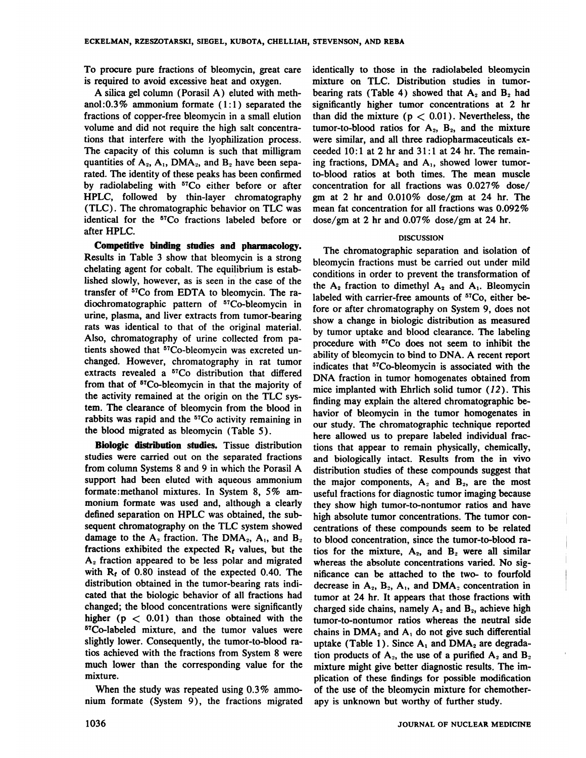To procure pure fractions of bleomycin, great care is required to avoid excessive heat and oxygen.

A silica gel column (Porasil A) eluted with meth anol:0.3% ammonium formate  $(1:1)$  separated the fractions of copper-free bleomycin in a small elution volume and did not require the high salt concentra tions that interfere with the lyophilization process. The capacity of this column is such that milligram quantities of  $A_2$ ,  $A_1$ , DMA<sub>2</sub>, and  $B_2$  have been separated. The identity of these peaks has been confirmed by radiolabeling with <sup>57</sup>Co either before or after HPLC, followed by thin-layer chromatography (TLC) . The chromatographic behavior on TLC was identical for the 57Co fractions labeled before or after HPLC.

Competitive binding studies and pharmacology. Results in Table 3 show that bleomycin is a strong chelating agent for cobalt. The equilibrium is estab lished slowly, however, as is seen in the case of the transfer of <sup>57</sup>Co from EDTA to bleomycin. The radiochromatographic pattern of 57Co-bleomycin in urine, plasma, and liver extracts from tumor-bearing rats was identical to that of the original material. Also, chromatography of urine collected from pa tients showed that <sup>57</sup>Co-bleomycin was excreted unchanged. However, chromatography in rat tumor extracts revealed a <sup>57</sup>Co distribution that differed from that of 5TCo-bleomycin in that the majority of the activity remained at the origin on the TLC sys tem. The clearance of bleomycin from the blood in rabbits was rapid and the <sup>57</sup>Co activity remaining in the blood migrated as bleomycin (Table 5).

Biologic distribution studies. Tissue distribution studies were carried out on the separated fractions from column Systems 8 and 9 in which the Porasil A support had been eluted with aqueous ammonium formate:methanol mixtures. In System 8, 5% am monium formate was used and, although a clearly defined separation on HPLC was obtained, the sub sequent chromatography on the TLC system showed damage to the  $A_2$  fraction. The DMA<sub>2</sub>,  $A_1$ , and  $B_2$ fractions exhibited the expected  $R_t$  values, but the  $A<sub>2</sub>$  fraction appeared to be less polar and migrated with  $R_f$  of 0.80 instead of the expected 0.40. The distribution obtained in the tumor-bearing rats indicated that the biologic behavior of all fractions had changed; the blood concentrations were significantly higher ( $p < 0.01$ ) than those obtained with the 5TCo-labeled mixture, and the tumor values were slightly lower. Consequently, the tumor-to-blood ra tios achieved with the fractions from System 8 were much lower than the corresponding value for the mixture.

When the study was repeated using 0.3% ammonium formate (System 9), the fractions migrated identically to those in the radiolabeled bleomycin mixture on TLC. Distribution studies in tumor bearing rats (Table 4) showed that  $A_2$  and  $B_2$  had significantly higher tumor concentrations at 2 hr than did the mixture ( $p < 0.01$ ). Nevertheless, the tumor-to-blood ratios for  $A_2$ ,  $B_2$ , and the mixture were similar, and all three radiopharmaceuticals exceeded  $10:1$  at 2 hr and  $31:1$  at 24 hr. The remaining fractions,  $DMA<sub>2</sub>$  and  $A<sub>1</sub>$ , showed lower tumorto-blood ratios at both times. The mean muscle concentration for all fractions was  $0.027\%$  dose/ gm at 2 hr and 0.010% dose/gm at 24 hr. The mean fat concentration for all fractions was 0.092% dose/gm at 2 hr and 0.07% dose/gm at 24 hr.

### DISCUSSION

The chromatographic separation and isolation of bleomycin fractions must be carried out under mild conditions in order to prevent the transformation of the  $A_2$  fraction to dimethyl  $A_2$  and  $A_1$ . Bleomycin labeled with carrier-free amounts of <sup>57</sup>Co, either before or after chromatography on System 9, does not show a change in biologic distribution as measured by tumor uptake and blood clearance. The labeling procedure with 57Co does not seem to inhibit the ability of bleomycin to bind to DNA. A recent report indicates that 57Co-bleomycin is associated with the DNA fraction in tumor homogenates obtained from mice implanted with Ehrlich solid tumor (12). This finding may explain the altered chromatographic be havior of bleomycin in the tumor homogenates in our study. The chromatographic technique reported here allowed us to prepare labeled individual frac tions that appear to remain physically, chemically, and biologically intact. Results from the in vivo distribution studies of these compounds suggest that the major components,  $A_2$  and  $B_2$ , are the most useful fractions for diagnostic tumor imaging because they show high tumor-to-nontumor ratios and have high absolute tumor concentrations. The tumor con centrations of these compounds seem to be related to blood concentration, since the tumor-to-blood ra tios for the mixture,  $A_2$ , and  $B_2$  were all similar whereas the absolute concentrations varied. No sig nificance can be attached to the two- to fourfold decrease in  $A_2$ ,  $B_2$ ,  $A_1$ , and  $DMA_2$  concentration in tumor at 24 hr. It appears that those fractions with charged side chains, namely  $A_2$  and  $B_2$ , achieve high tumor-to-nontumor ratios whereas the neutral side chains in  $\text{DMA}_2$  and  $\text{A}_1$  do not give such differential uptake (Table 1). Since  $A_1$  and DMA<sub>2</sub> are degradation products of  $A_2$ , the use of a purified  $A_2$  and  $B_2$ mixture might give better diagnostic results. The im plication of these findings for possible modification of the use of the bleomycin mixture for chemother apy is unknown but worthy of further study.